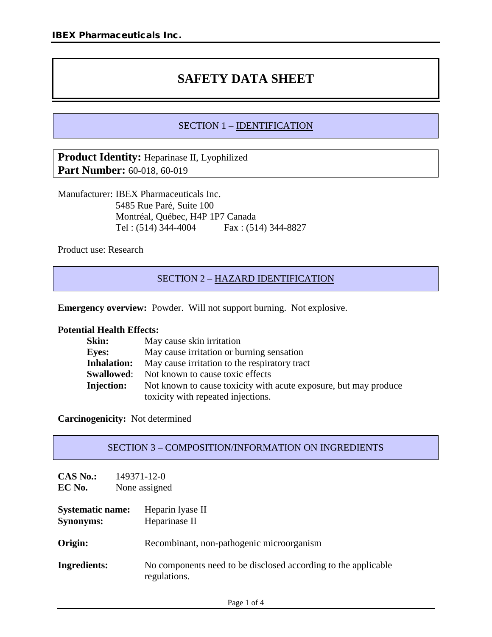# **SAFETY DATA SHEET**

# SECTION 1 – **IDENTIFICATION**

**Product Identity:** Heparinase II, Lyophilized **Part Number:** 60-018, 60-019

Manufacturer: IBEX Pharmaceuticals Inc. 5485 Rue Paré, Suite 100 Montréal, Québec, H4P 1P7 Canada Tel : (514) 344-4004 Fax : (514) 344-8827

Product use: Research

# SECTION 2 – HAZARD IDENTIFICATION

**Emergency overview:** Powder. Will not support burning. Not explosive.

## **Potential Health Effects:**

| <b>Skin:</b>       | May cause skin irritation                                        |
|--------------------|------------------------------------------------------------------|
| <b>Eyes:</b>       | May cause irritation or burning sensation                        |
| <b>Inhalation:</b> | May cause irritation to the respiratory tract                    |
| <b>Swallowed:</b>  | Not known to cause toxic effects                                 |
| <b>Injection:</b>  | Not known to cause toxicity with acute exposure, but may produce |
|                    | toxicity with repeated injections.                               |

**Carcinogenicity:** Not determined

| <b>CAS No.:</b>         | 149371-12-0                                                                    |
|-------------------------|--------------------------------------------------------------------------------|
| EC No.                  | None assigned                                                                  |
| <b>Systematic name:</b> | Heparin lyase II                                                               |
| <b>Synonyms:</b>        | Heparinase II                                                                  |
| Origin:                 | Recombinant, non-pathogenic microorganism                                      |
| <b>Ingredients:</b>     | No components need to be disclosed according to the applicable<br>regulations. |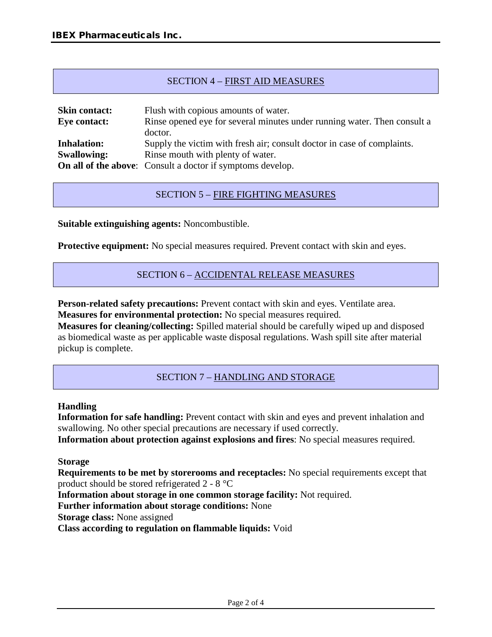# SECTION 4 – FIRST AID MEASURES

| <b>Skin contact:</b> | Flush with copious amounts of water.                                     |
|----------------------|--------------------------------------------------------------------------|
| Eye contact:         | Rinse opened eye for several minutes under running water. Then consult a |
|                      | doctor.                                                                  |
| <b>Inhalation:</b>   | Supply the victim with fresh air; consult doctor in case of complaints.  |
| <b>Swallowing:</b>   | Rinse mouth with plenty of water.                                        |
|                      | <b>On all of the above:</b> Consult a doctor if symptoms develop.        |

## SECTION 5 – FIRE FIGHTING MEASURES

**Suitable extinguishing agents:** Noncombustible.

**Protective equipment:** No special measures required. Prevent contact with skin and eyes.

#### SECTION 6 – ACCIDENTAL RELEASE MEASURES

**Person-related safety precautions:** Prevent contact with skin and eyes. Ventilate area. **Measures for environmental protection:** No special measures required.

**Measures for cleaning/collecting:** Spilled material should be carefully wiped up and disposed as biomedical waste as per applicable waste disposal regulations. Wash spill site after material pickup is complete.

#### SECTION 7 – HANDLING AND STORAGE

#### **Handling**

**Information for safe handling:** Prevent contact with skin and eyes and prevent inhalation and swallowing. No other special precautions are necessary if used correctly.

**Information about protection against explosions and fires**: No special measures required.

**Storage**

**Requirements to be met by storerooms and receptacles:** No special requirements except that product should be stored refrigerated 2 - 8 °C

**Information about storage in one common storage facility:** Not required.

**Further information about storage conditions:** None

**Storage class:** None assigned

**Class according to regulation on flammable liquids:** Void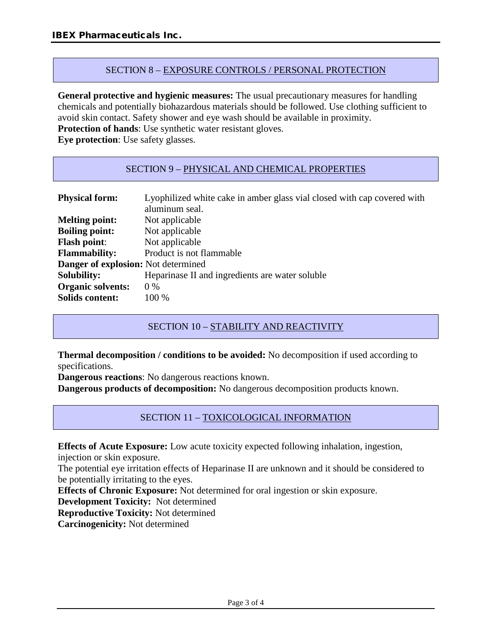## SECTION 8 – EXPOSURE CONTROLS / PERSONAL PROTECTION

**General protective and hygienic measures:** The usual precautionary measures for handling chemicals and potentially biohazardous materials should be followed. Use clothing sufficient to avoid skin contact. Safety shower and eye wash should be available in proximity.

**Protection of hands**: Use synthetic water resistant gloves.

**Eye protection**: Use safety glasses.

#### SECTION 9 – PHYSICAL AND CHEMICAL PROPERTIES

| <b>Physical form:</b>                      | Lyophilized white cake in amber glass vial closed with cap covered with<br>aluminum seal. |
|--------------------------------------------|-------------------------------------------------------------------------------------------|
| <b>Melting point:</b>                      | Not applicable                                                                            |
| <b>Boiling point:</b>                      | Not applicable                                                                            |
| <b>Flash point:</b>                        | Not applicable                                                                            |
| <b>Flammability:</b>                       | Product is not flammable                                                                  |
| <b>Danger of explosion:</b> Not determined |                                                                                           |
| <b>Solubility:</b>                         | Heparinase II and ingredients are water soluble                                           |
| <b>Organic solvents:</b>                   | $0\%$                                                                                     |
| Solids content:                            | 100 %                                                                                     |

SECTION 10 - STABILITY AND REACTIVITY

**Thermal decomposition / conditions to be avoided:** No decomposition if used according to specifications.

**Dangerous reactions**: No dangerous reactions known.

**Dangerous products of decomposition:** No dangerous decomposition products known.

# SECTION 11 – TOXICOLOGICAL INFORMATION

**Effects of Acute Exposure:** Low acute toxicity expected following inhalation, ingestion,

injection or skin exposure.

The potential eye irritation effects of Heparinase II are unknown and it should be considered to be potentially irritating to the eyes.

**Effects of Chronic Exposure:** Not determined for oral ingestion or skin exposure.

**Development Toxicity:** Not determined

**Reproductive Toxicity:** Not determined

**Carcinogenicity:** Not determined